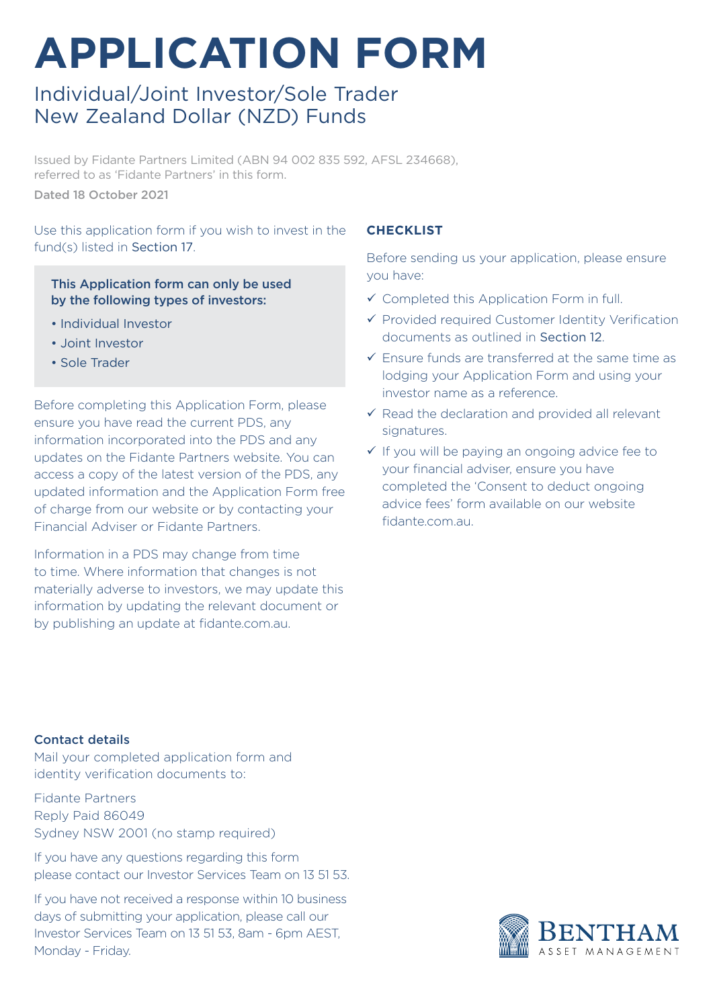# **APPLICATION FORM**

# Individual/Joint Investor/Sole Trader New Zealand Dollar (NZD) Funds

Issued by Fidante Partners Limited (ABN 94 002 835 592, AFSL 234668), referred to as 'Fidante Partners' in this form. Dated 18 October 2021

Use this application form if you wish to invest in the fund(s) listed in Section 17.

### This Application form can only be used by the following types of investors:

- Individual Investor
- Joint Investor
- Sole Trader

Before completing this Application Form, please ensure you have read the current PDS, any information incorporated into the PDS and any updates on the Fidante Partners website. You can access a copy of the latest version of the PDS, any updated information and the Application Form free of charge from our website or by contacting your Financial Adviser or Fidante Partners.

Information in a PDS may change from time to time. Where information that changes is not materially adverse to investors, we may update this information by updating the relevant document or by publishing an update at fidante.com.au.

### **CHECKLIST**

Before sending us your application, please ensure you have:

- $\checkmark$  Completed this Application Form in full.
- $\checkmark$  Provided required Customer Identity Verification documents as outlined in Section 12.
- $\checkmark$  Ensure funds are transferred at the same time as lodging your Application Form and using your investor name as a reference.
- $\checkmark$  Read the declaration and provided all relevant signatures.
- $\checkmark$  If you will be paying an ongoing advice fee to your financial adviser, ensure you have completed the 'Consent to deduct ongoing advice fees' form available on our website fidante.com.au.

#### Contact details

Mail your completed application form and identity verification documents to:

Fidante Partners Reply Paid 86049 Sydney NSW 2001 (no stamp required)

If you have any questions regarding this form please contact our Investor Services Team on 13 51 53.

If you have not received a response within 10 business days of submitting your application, please call our Investor Services Team on 13 51 53, 8am - 6pm AEST, Monday - Friday.

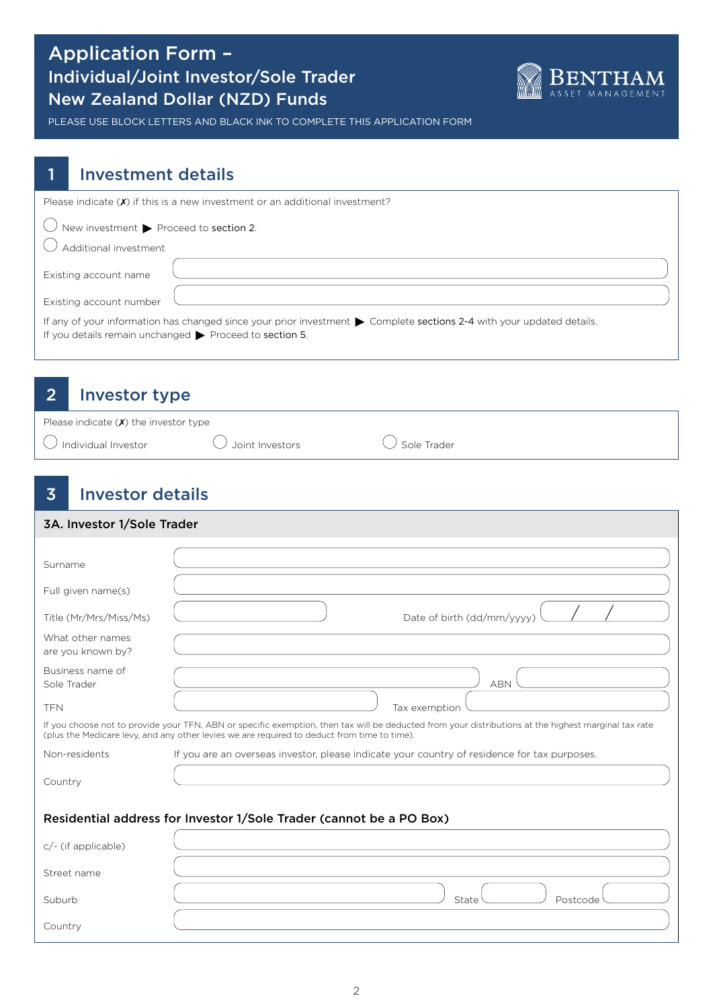### Application Form – Individual/Joint Investor/Sole Trader New Zealand Dollar (NZD) Funds



PLEASE USE BLOCK LETTERS AND BLACK INK TO COMPLETE THIS APPLICATION FORM

### 1 Investment details

| Please indicate $(\chi)$ if this is a new investment or an additional investment?                                                                                                               |
|-------------------------------------------------------------------------------------------------------------------------------------------------------------------------------------------------|
| $\bigcirc$ New investment $\blacktriangleright$ Proceed to section 2.                                                                                                                           |
|                                                                                                                                                                                                 |
|                                                                                                                                                                                                 |
| Additional investment                                                                                                                                                                           |
|                                                                                                                                                                                                 |
| Existing account name                                                                                                                                                                           |
| Existing account number                                                                                                                                                                         |
| If any of your information has changed since your prior investment > Complete sections 2-4 with your updated details.<br>If you details remain unchanged $\triangleright$ Proceed to section 5. |

### 2 Investor type

| Please indicate $(\chi)$ the investor type |                   |               |
|--------------------------------------------|-------------------|---------------|
| $\cup$ Individual Investor                 | U Joint Investors | ∪ Sole Trader |

# 3 Investor details

| 3A. Investor 1/Sole Trader                                          |                                                                                                                                                                                                                                                     |  |  |  |
|---------------------------------------------------------------------|-----------------------------------------------------------------------------------------------------------------------------------------------------------------------------------------------------------------------------------------------------|--|--|--|
| Surname                                                             |                                                                                                                                                                                                                                                     |  |  |  |
| Full given name(s)                                                  |                                                                                                                                                                                                                                                     |  |  |  |
| Title (Mr/Mrs/Miss/Ms)                                              | Date of birth (dd/mm/yyyy)                                                                                                                                                                                                                          |  |  |  |
| What other names<br>are you known by?                               |                                                                                                                                                                                                                                                     |  |  |  |
| Business name of<br>Sole Trader                                     | <b>ABN</b>                                                                                                                                                                                                                                          |  |  |  |
| <b>TFN</b>                                                          | Tax exemption                                                                                                                                                                                                                                       |  |  |  |
|                                                                     | If you choose not to provide your TFN, ABN or specific exemption, then tax will be deducted from your distributions at the highest marginal tax rate<br>(plus the Medicare levy, and any other levies we are required to deduct from time to time). |  |  |  |
| Non-residents                                                       | If you are an overseas investor, please indicate your country of residence for tax purposes.                                                                                                                                                        |  |  |  |
| Country                                                             |                                                                                                                                                                                                                                                     |  |  |  |
| Residential address for Investor 1/Sole Trader (cannot be a PO Box) |                                                                                                                                                                                                                                                     |  |  |  |
| c/- (if applicable)                                                 |                                                                                                                                                                                                                                                     |  |  |  |
| Street name                                                         |                                                                                                                                                                                                                                                     |  |  |  |
| Suburb                                                              | State<br>Postcode                                                                                                                                                                                                                                   |  |  |  |
| Country                                                             |                                                                                                                                                                                                                                                     |  |  |  |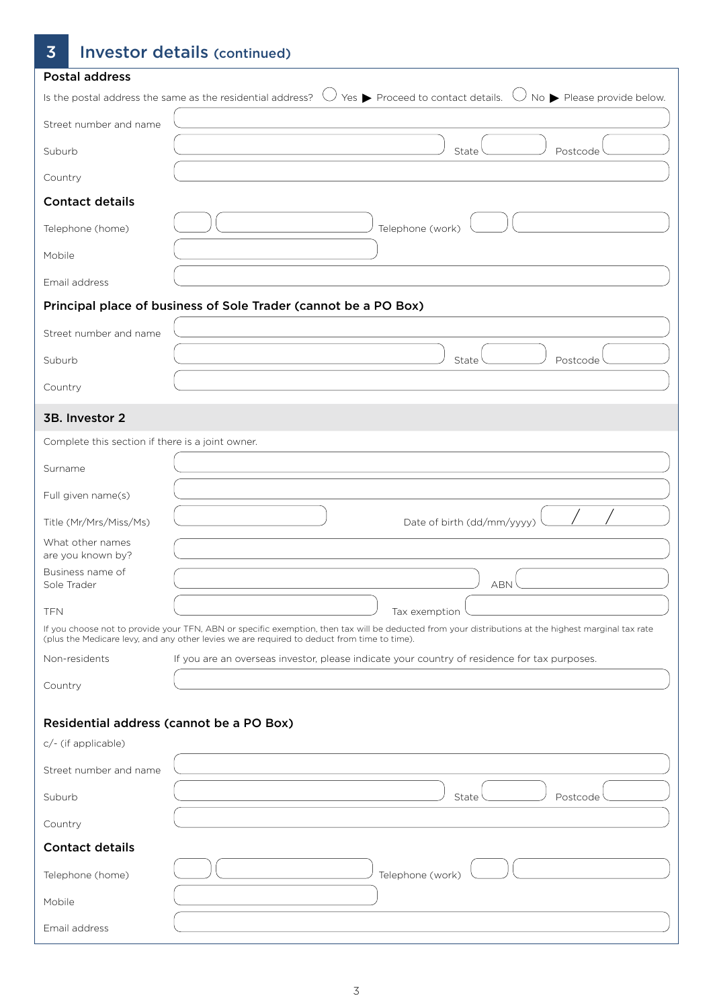# 3 Investor details (continued)

| <b>Postal address</b>                            |                                                                                                                                                                                                                                                     |
|--------------------------------------------------|-----------------------------------------------------------------------------------------------------------------------------------------------------------------------------------------------------------------------------------------------------|
|                                                  | Is the postal address the same as the residential address? $\bigcup$ Yes $\blacktriangleright$ Proceed to contact details.<br>$\bigcup$ No $\blacktriangleright$ Please provide below.                                                              |
| Street number and name                           |                                                                                                                                                                                                                                                     |
| Suburb                                           | State<br>Postcode                                                                                                                                                                                                                                   |
| Country                                          |                                                                                                                                                                                                                                                     |
| <b>Contact details</b>                           |                                                                                                                                                                                                                                                     |
| Telephone (home)                                 | Telephone (work)                                                                                                                                                                                                                                    |
| Mobile                                           |                                                                                                                                                                                                                                                     |
| Email address                                    |                                                                                                                                                                                                                                                     |
|                                                  | Principal place of business of Sole Trader (cannot be a PO Box)                                                                                                                                                                                     |
| Street number and name                           |                                                                                                                                                                                                                                                     |
| Suburb                                           | State<br>Postcode                                                                                                                                                                                                                                   |
| Country                                          |                                                                                                                                                                                                                                                     |
| 3B. Investor 2                                   |                                                                                                                                                                                                                                                     |
| Complete this section if there is a joint owner. |                                                                                                                                                                                                                                                     |
| Surname                                          |                                                                                                                                                                                                                                                     |
| Full given name(s)                               |                                                                                                                                                                                                                                                     |
| Title (Mr/Mrs/Miss/Ms)                           | Date of birth (dd/mm/yyyy)                                                                                                                                                                                                                          |
| What other names<br>are you known by?            |                                                                                                                                                                                                                                                     |
| Business name of<br>Sole Trader                  | <b>ABN</b>                                                                                                                                                                                                                                          |
| <b>TFN</b>                                       | Tax exemption                                                                                                                                                                                                                                       |
|                                                  | If you choose not to provide your TFN, ABN or specific exemption, then tax will be deducted from your distributions at the highest marginal tax rate<br>(plus the Medicare levy, and any other levies we are required to deduct from time to time). |
| Non-residents                                    | If you are an overseas investor, please indicate your country of residence for tax purposes.                                                                                                                                                        |
| Country                                          |                                                                                                                                                                                                                                                     |
| Residential address (cannot be a PO Box)         |                                                                                                                                                                                                                                                     |
| c/- (if applicable)                              |                                                                                                                                                                                                                                                     |
| Street number and name                           |                                                                                                                                                                                                                                                     |
| Suburb                                           | State<br>Postcode                                                                                                                                                                                                                                   |
| Country                                          |                                                                                                                                                                                                                                                     |
| <b>Contact details</b>                           |                                                                                                                                                                                                                                                     |
| Telephone (home)                                 | Telephone (work)                                                                                                                                                                                                                                    |
| Mobile                                           |                                                                                                                                                                                                                                                     |
| Email address                                    |                                                                                                                                                                                                                                                     |
|                                                  |                                                                                                                                                                                                                                                     |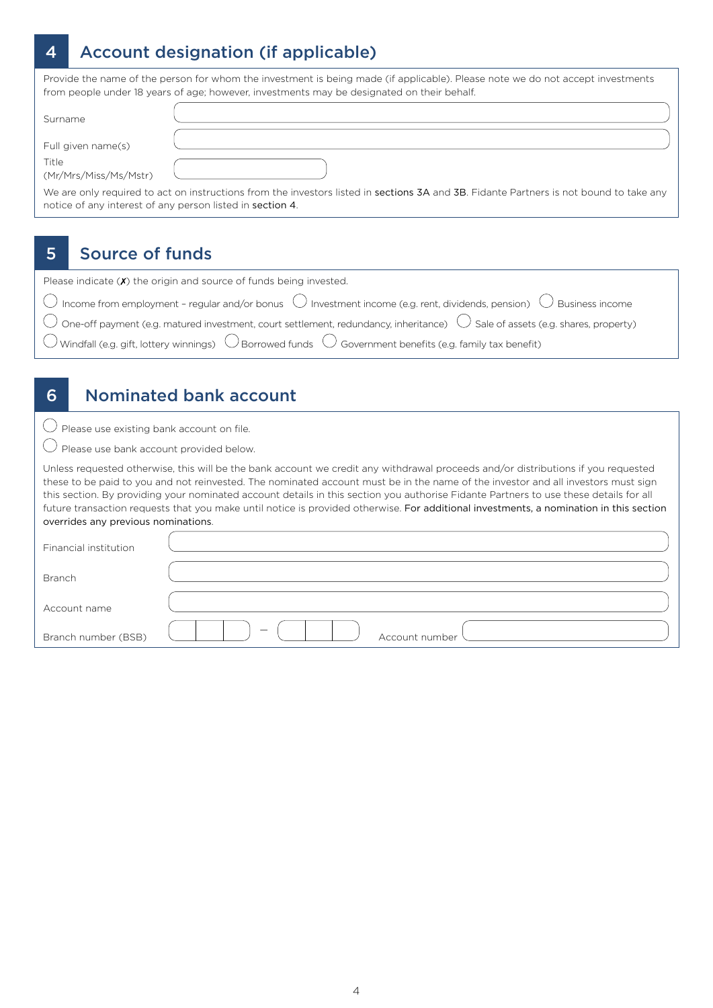# 4 Account designation (if applicable)

Provide the name of the person for whom the investment is being made (if applicable). Please note we do not accept investments from people under 18 years of age; however, investments may be designated on their behalf.

| Surname                                                   |                                                                                                                                        |
|-----------------------------------------------------------|----------------------------------------------------------------------------------------------------------------------------------------|
| Full given name(s)                                        |                                                                                                                                        |
| Title<br>(Mr/Mrs/Miss/Ms/Mstr)                            |                                                                                                                                        |
| notice of any interest of any person listed in section 4. | We are only required to act on instructions from the investors listed in sections 3A and 3B. Fidante Partners is not bound to take any |

# 5 Source of funds

| Please indicate $(X)$ the origin and source of funds being invested.                                                                              |  |
|---------------------------------------------------------------------------------------------------------------------------------------------------|--|
| $\bigcirc$ Income from employment - regular and/or bonus $\bigcirc$ Investment income (e.g. rent, dividends, pension) $\bigcirc$ Business income  |  |
| $\bigcirc$ One-off payment (e.g. matured investment, court settlement, redundancy, inheritance) $\bigcirc$ Sale of assets (e.g. shares, property) |  |
| $\bigcirc$ Windfall (e.g. gift, lottery winnings) $\bigcirc$ Borrowed funds $\bigcirc$ Government benefits (e.g. family tax benefit)              |  |

### 6 Nominated bank account

 $\bigcirc$  Please use existing bank account on file.

Please use bank account provided below.

Unless requested otherwise, this will be the bank account we credit any withdrawal proceeds and/or distributions if you requested these to be paid to you and not reinvested. The nominated account must be in the name of the investor and all investors must sign this section. By providing your nominated account details in this section you authorise Fidante Partners to use these details for all future transaction requests that you make until notice is provided otherwise. For additional investments, a nomination in this section overrides any previous nominations.

| Financial institution |                |
|-----------------------|----------------|
| <b>Branch</b>         |                |
| Account name          |                |
| Branch number (BSB)   | Account number |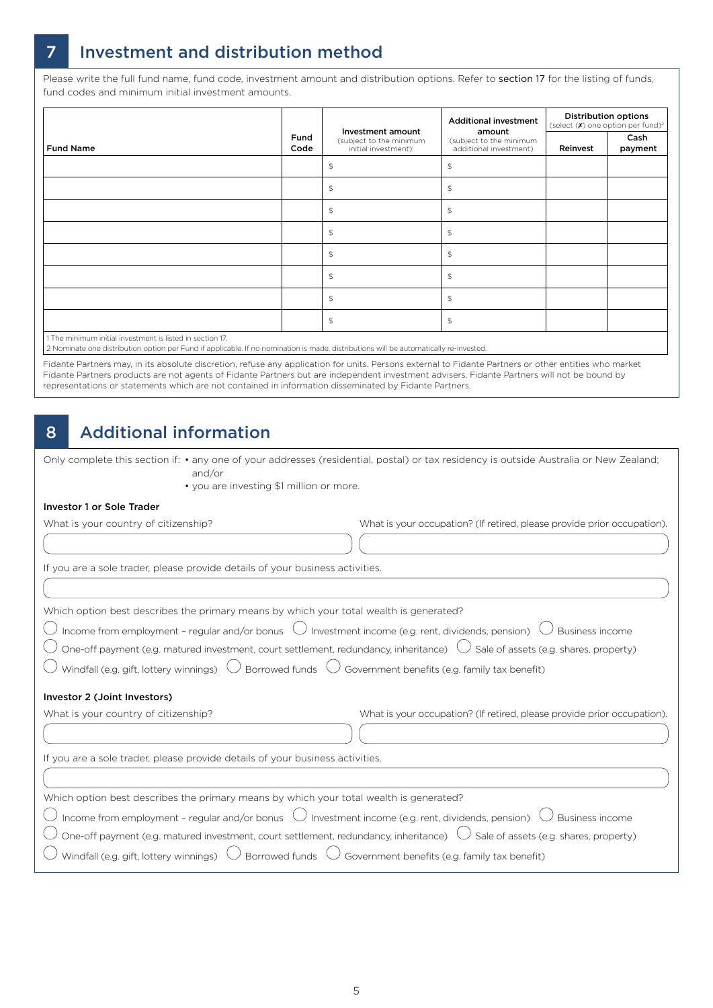# 7 Investment and distribution method

Please write the full fund name, fund code, investment amount and distribution options. Refer to section 17 for the listing of funds, fund codes and minimum initial investment amounts.

|                                                           |              |                                                                                  | <b>Additional investment</b>                                | <b>Distribution options</b><br>(select $(X)$ one option per fund) <sup>2</sup> |                 |
|-----------------------------------------------------------|--------------|----------------------------------------------------------------------------------|-------------------------------------------------------------|--------------------------------------------------------------------------------|-----------------|
| <b>Fund Name</b>                                          | Fund<br>Code | Investment amount<br>(subject to the minimum<br>initial investment) <sup>1</sup> | amount<br>(subject to the minimum<br>additional investment) | Reinvest                                                                       | Cash<br>payment |
|                                                           |              | $\mathfrak{P}$                                                                   | $\mathfrak{P}$                                              |                                                                                |                 |
|                                                           |              | $\updownarrow$                                                                   | $\mathfrak{P}$                                              |                                                                                |                 |
|                                                           |              | $\mathfrak{P}$                                                                   | $$\mathbb{S}$$                                              |                                                                                |                 |
|                                                           |              | $\updownarrow$                                                                   | $\mathfrak{P}$                                              |                                                                                |                 |
|                                                           |              | $\mathfrak{P}$                                                                   | $\mathfrak{P}$                                              |                                                                                |                 |
|                                                           |              | $\updownarrow$                                                                   | $\mathfrak{P}$                                              |                                                                                |                 |
|                                                           |              | $\updownarrow$                                                                   | $$\mathbb{S}$$                                              |                                                                                |                 |
|                                                           |              | $\updownarrow$                                                                   | $\mathfrak{P}$                                              |                                                                                |                 |
| 1 The minimum initial investment is listed in section 17. |              |                                                                                  |                                                             |                                                                                |                 |

2 Nominate one distribution option per Fund if applicable. If no nomination is made, distributions will be automatically re-invested.

Fidante Partners may, in its absolute discretion, refuse any application for units. Persons external to Fidante Partners or other entities who market Fidante Partners products are not agents of Fidante Partners but are independent investment advisers. Fidante Partners will not be bound by representations or statements which are not contained in information disseminated by Fidante Partners.

### 8 Additional information

Only complete this section if: • any one of your addresses (residential, postal) or tax residency is outside Australia or New Zealand; and/or

• you are investing \$1 million or more.

#### Investor 1 or Sole Trader

| What is your country of citizenship?                                                                                                                                                                                                                                                                                                      | What is your occupation? (If retired, please provide prior occupation). |
|-------------------------------------------------------------------------------------------------------------------------------------------------------------------------------------------------------------------------------------------------------------------------------------------------------------------------------------------|-------------------------------------------------------------------------|
|                                                                                                                                                                                                                                                                                                                                           |                                                                         |
| If you are a sole trader, please provide details of your business activities.                                                                                                                                                                                                                                                             |                                                                         |
|                                                                                                                                                                                                                                                                                                                                           |                                                                         |
| Which option best describes the primary means by which your total wealth is generated?<br>Income from employment - regular and/or bonus $\bigcup$ Investment income (e.g. rent, dividends, pension)<br>One-off payment (e.g. matured investment, court settlement, redundancy, inheritance) $\cup$ Sale of assets (e.g. shares, property) | Business income                                                         |
| Windfall (e.g. gift, lottery winnings) $\bigcup$ Borrowed funds $\bigcup$ Government benefits (e.g. family tax benefit)                                                                                                                                                                                                                   |                                                                         |
| Investor 2 (Joint Investors)                                                                                                                                                                                                                                                                                                              |                                                                         |
| What is your country of citizenship?                                                                                                                                                                                                                                                                                                      | What is your occupation? (If retired, please provide prior occupation). |
|                                                                                                                                                                                                                                                                                                                                           |                                                                         |
| If you are a sole trader, please provide details of your business activities.                                                                                                                                                                                                                                                             |                                                                         |
|                                                                                                                                                                                                                                                                                                                                           |                                                                         |
| Which option best describes the primary means by which your total wealth is generated?                                                                                                                                                                                                                                                    |                                                                         |
| Income from employment - regular and/or bonus $\cup$ Investment income (e.g. rent, dividends, pension) $\cup$ Business income<br>One-off payment (e.g. matured investment, court settlement, redundancy, inheritance) $\cup$ Sale of assets (e.g. shares, property)<br>Windfall (e.g. gift, lottery winnings) $\bigcup$                   | Borrowed funds $\bigcup$ Government benefits (e.g. family tax benefit)  |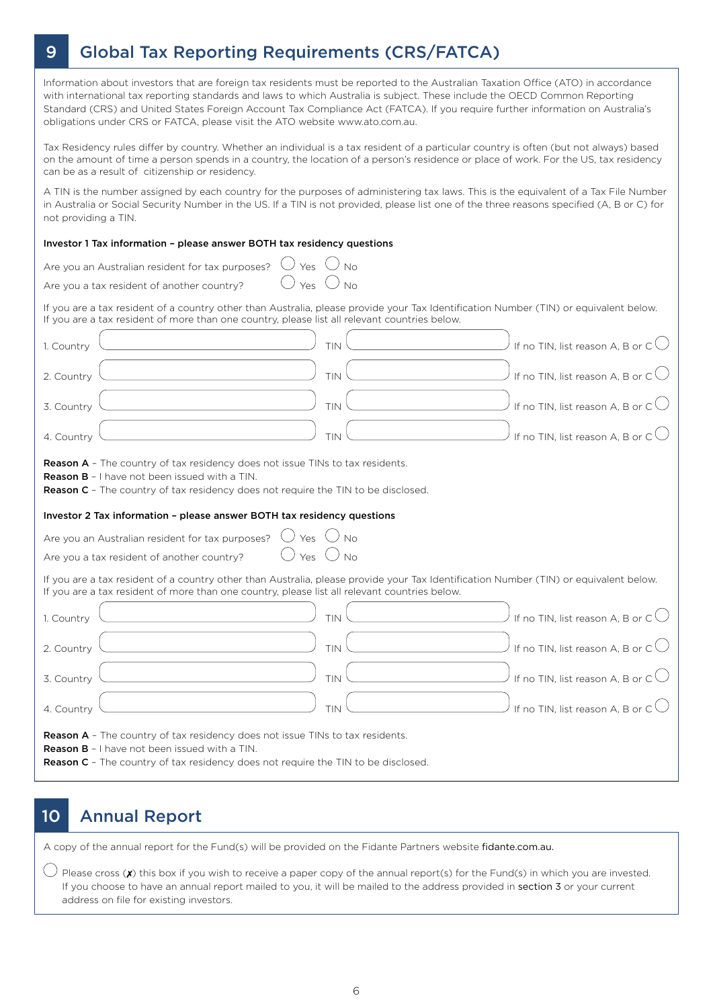# 9 Global Tax Reporting Requirements (CRS/FATCA)

Information about investors that are foreign tax residents must be reported to the Australian Taxation Office (ATO) in accordance with international tax reporting standards and laws to which Australia is subject. These include the OECD Common Reporting Standard (CRS) and United States Foreign Account Tax Compliance Act (FATCA). If you require further information on Australia's obligations under CRS or FATCA, please visit the ATO website www.ato.com.au.

Tax Residency rules differ by country. Whether an individual is a tax resident of a particular country is often (but not always) based on the amount of time a person spends in a country, the location of a person's residence or place of work. For the US, tax residency can be as a result of citizenship or residency.

A TIN is the number assigned by each country for the purposes of administering tax laws. This is the equivalent of a Tax File Number in Australia or Social Security Number in the US. If a TIN is not provided, please list one of the three reasons specified (A, B or C) for not providing a TIN.

#### Investor 1 Tax information – please answer BOTH tax residency questions

| Yes<br>No<br>Are you a tax resident of another country?                                                                                                                                                                                  |
|------------------------------------------------------------------------------------------------------------------------------------------------------------------------------------------------------------------------------------------|
| If you are a tax resident of a country other than Australia, please provide your Tax Identification Number (TIN) or equivalent below.<br>If you are a tax resident of more than one country, please list all relevant countries below.   |
| If no TIN, list reason A, B or $C$ $\bigcup$<br>TIN<br>1. Country                                                                                                                                                                        |
| If no TIN, list reason A, B or $C$<br>TIN<br>2. Country                                                                                                                                                                                  |
| If no TIN, list reason A, B or C <sup>(</sup><br>TIN<br>3. Country                                                                                                                                                                       |
| If no TIN, list reason A, B or C<br>TIN<br>4. Country                                                                                                                                                                                    |
| <b>Reason A</b> - The country of tax residency does not issue TINs to tax residents.<br><b>Reason B</b> - I have not been issued with a TIN.<br><b>Reason C</b> - The country of tax residency does not require the TIN to be disclosed. |
| Investor 2 Tax information - please answer BOTH tax residency questions                                                                                                                                                                  |
| Yes<br>Are you an Australian resident for tax purposes?                                                                                                                                                                                  |
| $\bigcup$ Yes $\bigcup$ No<br>Are you a tax resident of another country?                                                                                                                                                                 |
|                                                                                                                                                                                                                                          |
| If you are a tax resident of a country other than Australia, please provide your Tax Identification Number (TIN) or equivalent below.<br>If you are a tax resident of more than one country, please list all relevant countries below.   |
| If no TIN, list reason A, B or $C$ $\bigcirc$<br>TIN<br>1. Country                                                                                                                                                                       |
| If no TIN, list reason A, B or C<br>TIN<br>2. Country                                                                                                                                                                                    |
| If no TIN, list reason A, B or $C$<br>TIN<br>3. Country                                                                                                                                                                                  |
| If no TIN, list reason A, B or $C$<br>4. Country<br>TIN                                                                                                                                                                                  |

### 10 Annual Report

A copy of the annual report for the Fund(s) will be provided on the Fidante Partners website fidante.com.au.

 $\bigcup$  Please cross (X) this box if you wish to receive a paper copy of the annual report(s) for the Fund(s) in which you are invested. If you choose to have an annual report mailed to you, it will be mailed to the address provided in section 3 or your current address on file for existing investors.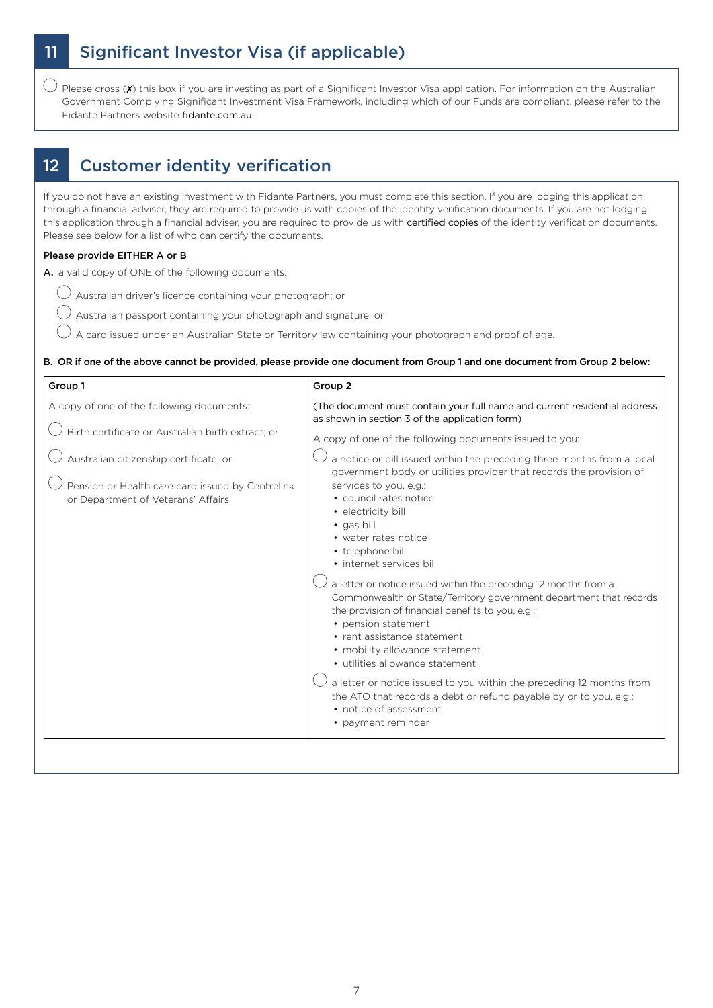# 11 Significant Investor Visa (if applicable)

 $\bigcirc$  Please cross (X) this box if you are investing as part of a Significant Investor Visa application. For information on the Australian Government Complying Significant Investment Visa Framework, including which of our Funds are compliant, please refer to the Fidante Partners website fidante.com.au.

### 12 Customer identity verification

If you do not have an existing investment with Fidante Partners, you must complete this section. If you are lodging this application through a financial adviser, they are required to provide us with copies of the identity verification documents. If you are not lodging this application through a financial adviser, you are required to provide us with certified copies of the identity verification documents. Please see below for a list of who can certify the documents.

#### Please provide EITHER A or B

A. a valid copy of ONE of the following documents:

- $\bigcirc$  Australian driver's licence containing your photograph; or
- $\bigcirc$  Australian passport containing your photograph and signature; or
- A card issued under an Australian State or Territory law containing your photograph and proof of age.

B. OR if one of the above cannot be provided, please provide one document from Group 1 and one document from Group 2 below:

| (The document must contain your full name and current residential address)<br>A copy of one of the following documents:<br>as shown in section 3 of the application form)<br>Birth certificate or Australian birth extract; or<br>A copy of one of the following documents issued to you:<br>a notice or bill issued within the preceding three months from a local<br>Australian citizenship certificate; or<br>government body or utilities provider that records the provision of<br>Pension or Health care card issued by Centrelink<br>services to you, e.g.:<br>• council rates notice<br>or Department of Veterans' Affairs.<br>· electricity bill<br>· gas bill<br>• water rates notice<br>• telephone bill<br>• internet services bill<br>a letter or notice issued within the preceding 12 months from a<br>Commonwealth or State/Territory government department that records<br>the provision of financial benefits to you, e.g.:<br>• pension statement<br>• rent assistance statement<br>• mobility allowance statement<br>• utilities allowance statement<br>a letter or notice issued to you within the preceding 12 months from<br>the ATO that records a debt or refund payable by or to you, e.g.:<br>• notice of assessment<br>• payment reminder | Group 1 | Group 2 |
|-----------------------------------------------------------------------------------------------------------------------------------------------------------------------------------------------------------------------------------------------------------------------------------------------------------------------------------------------------------------------------------------------------------------------------------------------------------------------------------------------------------------------------------------------------------------------------------------------------------------------------------------------------------------------------------------------------------------------------------------------------------------------------------------------------------------------------------------------------------------------------------------------------------------------------------------------------------------------------------------------------------------------------------------------------------------------------------------------------------------------------------------------------------------------------------------------------------------------------------------------------------------------|---------|---------|
|                                                                                                                                                                                                                                                                                                                                                                                                                                                                                                                                                                                                                                                                                                                                                                                                                                                                                                                                                                                                                                                                                                                                                                                                                                                                       |         |         |
|                                                                                                                                                                                                                                                                                                                                                                                                                                                                                                                                                                                                                                                                                                                                                                                                                                                                                                                                                                                                                                                                                                                                                                                                                                                                       |         |         |
|                                                                                                                                                                                                                                                                                                                                                                                                                                                                                                                                                                                                                                                                                                                                                                                                                                                                                                                                                                                                                                                                                                                                                                                                                                                                       |         |         |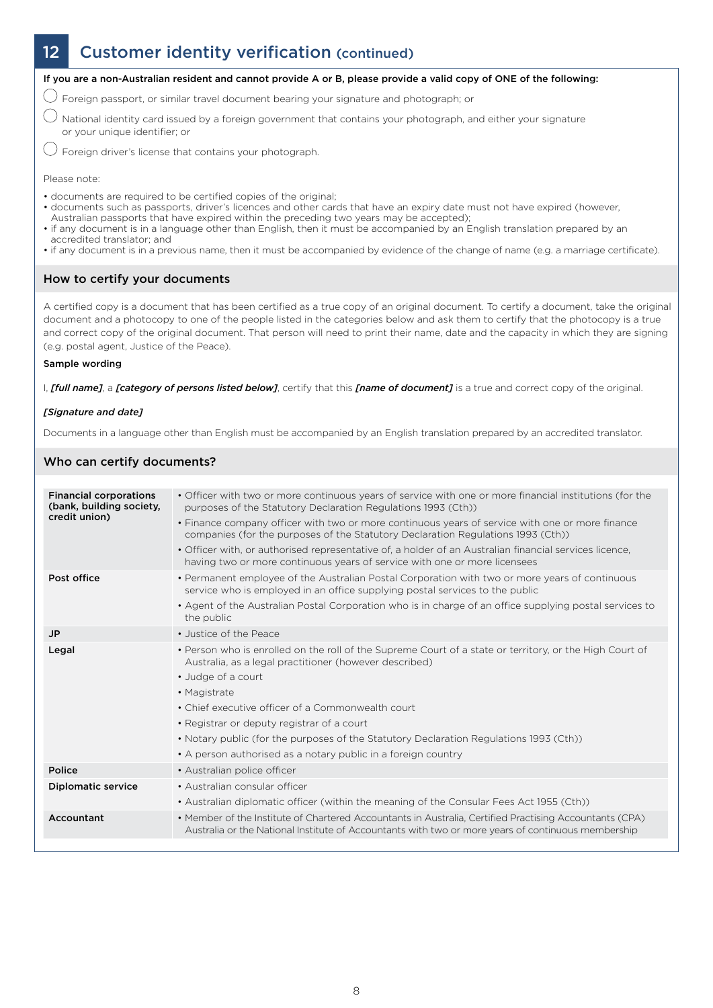# 12 Customer identity verification (continued)



If you are a non-Australian resident and cannot provide A or B, please provide a valid copy of ONE of the following:

 $\bigcirc$  Foreign passport, or similar travel document bearing your signature and photograph; or

National identity card issued by a foreign government that contains your photograph, and either your signature or your unique identifier; or

 $\bigcirc$  Foreign driver's license that contains your photograph.

Please note:

- documents are required to be certified copies of the original;
- documents such as passports, driver's licences and other cards that have an expiry date must not have expired (however,
- Australian passports that have expired within the preceding two years may be accepted);
- if any document is in a language other than English, then it must be accompanied by an English translation prepared by an accredited translator; and
- if any document is in a previous name, then it must be accompanied by evidence of the change of name (e.g. a marriage certificate).

#### How to certify your documents

A certified copy is a document that has been certified as a true copy of an original document. To certify a document, take the original document and a photocopy to one of the people listed in the categories below and ask them to certify that the photocopy is a true and correct copy of the original document. That person will need to print their name, date and the capacity in which they are signing (e.g. postal agent, Justice of the Peace).

#### Sample wording

I, *[full name]*, a *[category of persons listed below]*, certify that this *[name of document]* is a true and correct copy of the original.

#### *[Signature and date]*

Documents in a language other than English must be accompanied by an English translation prepared by an accredited translator.

#### Who can certify documents?

| <b>Financial corporations</b><br>(bank, building society,<br>credit union) | • Officer with two or more continuous years of service with one or more financial institutions (for the<br>purposes of the Statutory Declaration Regulations 1993 (Cth))                                      |
|----------------------------------------------------------------------------|---------------------------------------------------------------------------------------------------------------------------------------------------------------------------------------------------------------|
|                                                                            | • Finance company officer with two or more continuous years of service with one or more finance<br>companies (for the purposes of the Statutory Declaration Regulations 1993 (Cth))                           |
|                                                                            | . Officer with, or authorised representative of, a holder of an Australian financial services licence,<br>having two or more continuous years of service with one or more licensees                           |
| Post office                                                                | • Permanent employee of the Australian Postal Corporation with two or more years of continuous<br>service who is employed in an office supplying postal services to the public                                |
|                                                                            | • Agent of the Australian Postal Corporation who is in charge of an office supplying postal services to<br>the public                                                                                         |
| <b>JP</b>                                                                  | • Justice of the Peace                                                                                                                                                                                        |
| Legal                                                                      | • Person who is enrolled on the roll of the Supreme Court of a state or territory, or the High Court of<br>Australia, as a legal practitioner (however described)                                             |
|                                                                            | • Judge of a court                                                                                                                                                                                            |
|                                                                            | • Magistrate                                                                                                                                                                                                  |
|                                                                            | • Chief executive officer of a Commonwealth court                                                                                                                                                             |
|                                                                            | • Registrar or deputy registrar of a court                                                                                                                                                                    |
|                                                                            | • Notary public (for the purposes of the Statutory Declaration Regulations 1993 (Cth))                                                                                                                        |
|                                                                            | • A person authorised as a notary public in a foreign country                                                                                                                                                 |
| Police                                                                     | • Australian police officer                                                                                                                                                                                   |
| <b>Diplomatic service</b>                                                  | • Australian consular officer                                                                                                                                                                                 |
|                                                                            | • Australian diplomatic officer (within the meaning of the Consular Fees Act 1955 (Cth))                                                                                                                      |
| Accountant                                                                 | • Member of the Institute of Chartered Accountants in Australia, Certified Practising Accountants (CPA)<br>Australia or the National Institute of Accountants with two or more years of continuous membership |
|                                                                            |                                                                                                                                                                                                               |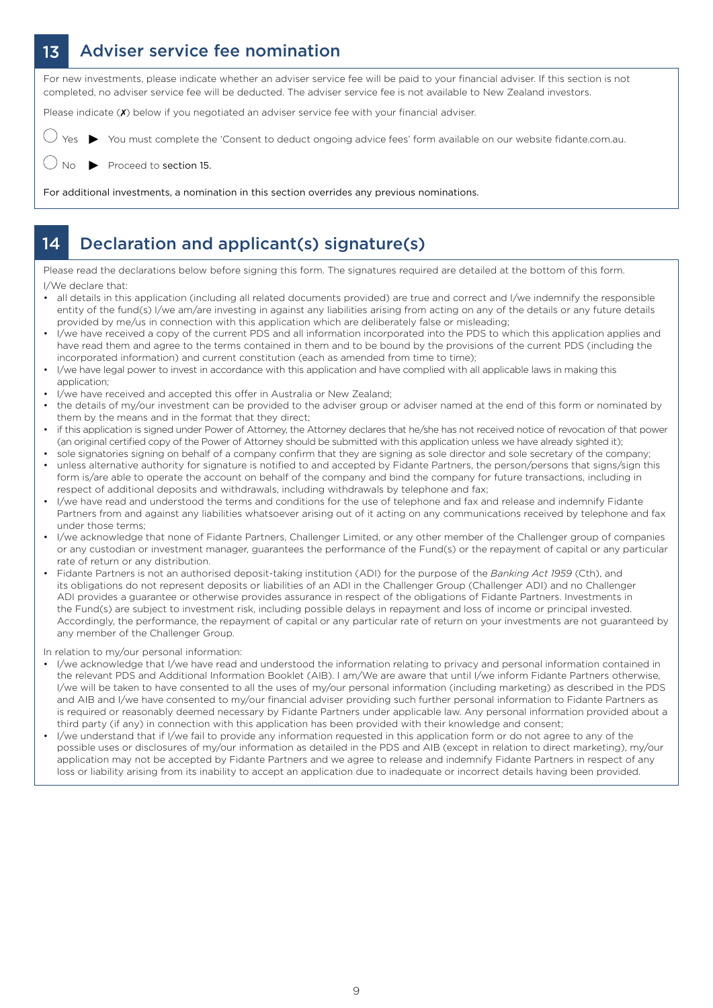# 13 Adviser service fee nomination

For new investments, please indicate whether an adviser service fee will be paid to your financial adviser. If this section is not completed, no adviser service fee will be deducted. The adviser service fee is not available to New Zealand investors.

Please indicate (X) below if you negotiated an adviser service fee with your financial adviser.

You must complete the 'Consent to deduct ongoing advice fees' form available on our website fidante.com.au.

Proceed to section 15.

For additional investments, a nomination in this section overrides any previous nominations.

### 14 Declaration and applicant(s) signature(s)

Please read the declarations below before signing this form. The signatures required are detailed at the bottom of this form. I/We declare that:

- all details in this application (including all related documents provided) are true and correct and I/we indemnify the responsible entity of the fund(s) I/we am/are investing in against any liabilities arising from acting on any of the details or any future details provided by me/us in connection with this application which are deliberately false or misleading;
- I/we have received a copy of the current PDS and all information incorporated into the PDS to which this application applies and have read them and agree to the terms contained in them and to be bound by the provisions of the current PDS (including the incorporated information) and current constitution (each as amended from time to time);
- I/we have legal power to invest in accordance with this application and have complied with all applicable laws in making this application;
- I/we have received and accepted this offer in Australia or New Zealand;
- the details of my/our investment can be provided to the adviser group or adviser named at the end of this form or nominated by them by the means and in the format that they direct;
- if this application is signed under Power of Attorney, the Attorney declares that he/she has not received notice of revocation of that power (an original certified copy of the Power of Attorney should be submitted with this application unless we have already sighted it);
- sole signatories signing on behalf of a company confirm that they are signing as sole director and sole secretary of the company; • unless alternative authority for signature is notified to and accepted by Fidante Partners, the person/persons that signs/sign this form is/are able to operate the account on behalf of the company and bind the company for future transactions, including in
- respect of additional deposits and withdrawals, including withdrawals by telephone and fax; • I/we have read and understood the terms and conditions for the use of telephone and fax and release and indemnify Fidante Partners from and against any liabilities whatsoever arising out of it acting on any communications received by telephone and fax under those terms;
- I/we acknowledge that none of Fidante Partners, Challenger Limited, or any other member of the Challenger group of companies or any custodian or investment manager, guarantees the performance of the Fund(s) or the repayment of capital or any particular rate of return or any distribution.
- Fidante Partners is not an authorised deposit-taking institution (ADI) for the purpose of the *Banking Act 1959* (Cth), and its obligations do not represent deposits or liabilities of an ADI in the Challenger Group (Challenger ADI) and no Challenger ADI provides a guarantee or otherwise provides assurance in respect of the obligations of Fidante Partners. Investments in the Fund(s) are subject to investment risk, including possible delays in repayment and loss of income or principal invested. Accordingly, the performance, the repayment of capital or any particular rate of return on your investments are not guaranteed by any member of the Challenger Group.

In relation to my/our personal information:

- I/we acknowledge that I/we have read and understood the information relating to privacy and personal information contained in the relevant PDS and Additional Information Booklet (AIB). I am/We are aware that until I/we inform Fidante Partners otherwise, I/we will be taken to have consented to all the uses of my/our personal information (including marketing) as described in the PDS and AIB and I/we have consented to my/our financial adviser providing such further personal information to Fidante Partners as is required or reasonably deemed necessary by Fidante Partners under applicable law. Any personal information provided about a third party (if any) in connection with this application has been provided with their knowledge and consent;
- I/we understand that if I/we fail to provide any information requested in this application form or do not agree to any of the possible uses or disclosures of my/our information as detailed in the PDS and AIB (except in relation to direct marketing), my/our application may not be accepted by Fidante Partners and we agree to release and indemnify Fidante Partners in respect of any loss or liability arising from its inability to accept an application due to inadequate or incorrect details having been provided.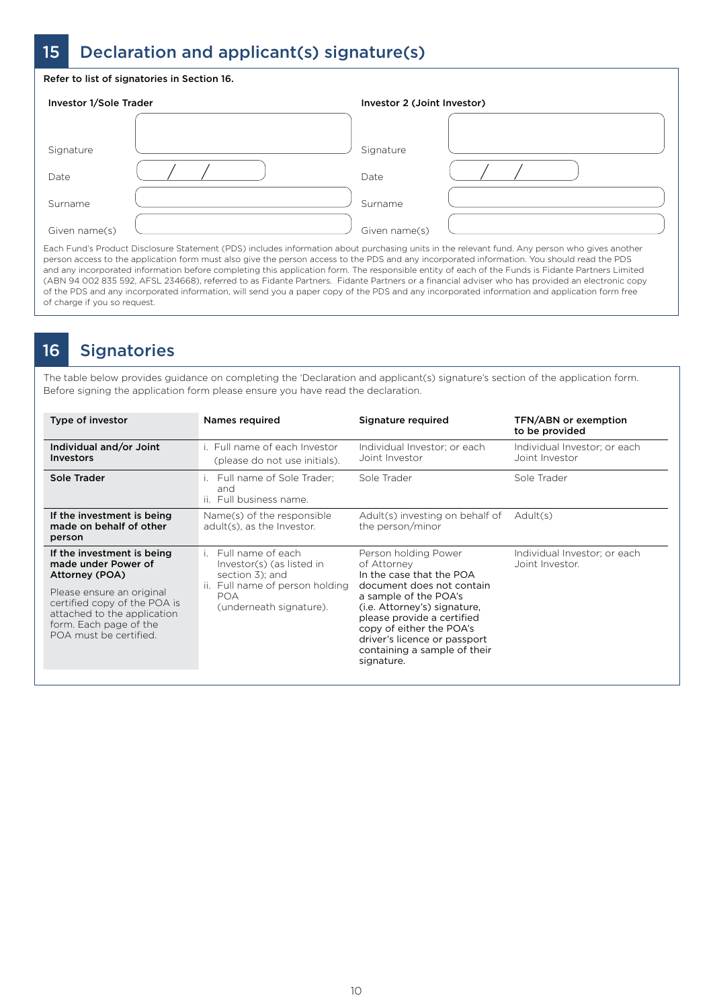# 15 Declaration and applicant(s) signature(s)

#### Refer to list of signatories in Section 16.

| Investor 1/Sole Trader |  | Investor 2 (Joint Investor) |  |
|------------------------|--|-----------------------------|--|
|                        |  |                             |  |
| Signature              |  | Signature                   |  |
| Date                   |  | Date                        |  |
| Surname                |  | Surname                     |  |
| Given name(s)          |  | Given name(s)               |  |

Each Fund's Product Disclosure Statement (PDS) includes information about purchasing units in the relevant fund. Any person who gives another person access to the application form must also give the person access to the PDS and any incorporated information. You should read the PDS and any incorporated information before completing this application form. The responsible entity of each of the Funds is Fidante Partners Limited (ABN 94 002 835 592, AFSL 234668), referred to as Fidante Partners. Fidante Partners or a financial adviser who has provided an electronic copy of the PDS and any incorporated information, will send you a paper copy of the PDS and any incorporated information and application form free of charge if you so request.

### 16 Signatories

The table below provides guidance on completing the 'Declaration and applicant(s) signature's section of the application form. Before signing the application form please ensure you have read the declaration.

| Type of investor                                                                                                                                                                                                    | Names required                                                                                                                                                | Signature required                                                                                                                                                                                                                                                                            | <b>TFN/ABN or exemption</b><br>to be provided   |
|---------------------------------------------------------------------------------------------------------------------------------------------------------------------------------------------------------------------|---------------------------------------------------------------------------------------------------------------------------------------------------------------|-----------------------------------------------------------------------------------------------------------------------------------------------------------------------------------------------------------------------------------------------------------------------------------------------|-------------------------------------------------|
| Individual and/or Joint<br><b>Investors</b>                                                                                                                                                                         | i. Full name of each Investor<br>(please do not use initials).                                                                                                | Individual Investor: or each<br>Joint Investor                                                                                                                                                                                                                                                | Individual Investor: or each<br>Joint Investor  |
| Sole Trader                                                                                                                                                                                                         | Full name of Sole Trader;<br>and<br>ii. Full business name.                                                                                                   | Sole Trader                                                                                                                                                                                                                                                                                   | Sole Trader                                     |
| If the investment is being<br>made on behalf of other<br>person                                                                                                                                                     | Name(s) of the responsible<br>adult(s), as the Investor.                                                                                                      | Adult(s) investing on behalf of<br>the person/minor                                                                                                                                                                                                                                           | Adult(s)                                        |
| If the investment is being<br>made under Power of<br>Attorney (POA)<br>Please ensure an original<br>certified copy of the POA is<br>attached to the application<br>form. Each page of the<br>POA must be certified. | Full name of each<br>$\mathbf{L}$<br>Investor(s) (as listed in<br>section 3); and<br>ii. Full name of person holding<br><b>POA</b><br>(underneath signature). | Person holding Power<br>of Attornev<br>In the case that the POA<br>document does not contain<br>a sample of the POA's<br>(i.e. Attorney's) signature,<br>please provide a certified<br>copy of either the POA's<br>driver's licence or passport<br>containing a sample of their<br>signature. | Individual Investor; or each<br>Joint Investor. |